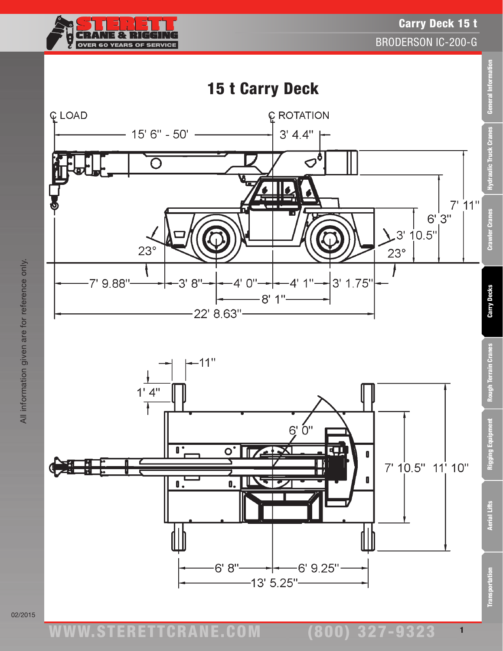



02/2015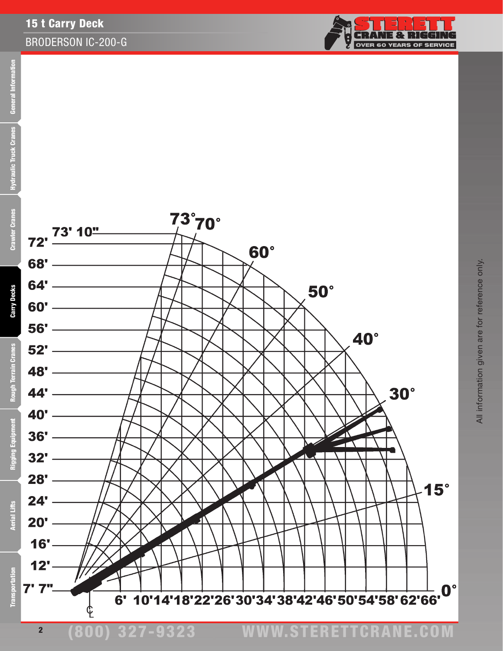

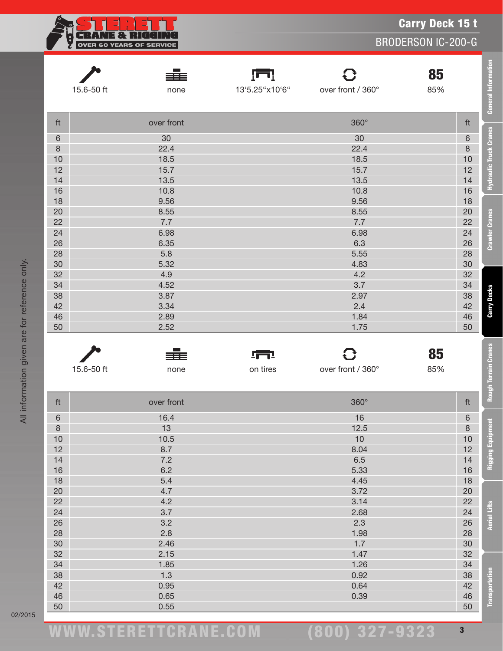|            |                                 |                |                   | <b>Carry Deck 15 t</b>    |  |
|------------|---------------------------------|----------------|-------------------|---------------------------|--|
|            | <b>OVER 60 YEARS OF SERVICE</b> |                |                   | <b>BRODERSON IC-200-G</b> |  |
|            |                                 |                |                   |                           |  |
|            | ≡≣                              | ſП             |                   | 85                        |  |
| 15.6-50 ft | none                            | 13'5.25"x10'6" | over front / 360° | 85%                       |  |
| ft         | over front                      |                | 360°              | ft                        |  |
| $\,$ 6     | 30                              |                | 30                | $6\,$                     |  |
| $\delta$   | 22.4                            |                | 22.4              |                           |  |
| 10         | 18.5                            |                | $\,8\,$<br>10     |                           |  |
| 12         | 15.7                            |                | 12                |                           |  |
| 14         | 13.5                            |                | 14                |                           |  |
| 16         | 10.8                            |                | 16                |                           |  |
| 18         | 9.56                            |                | 10.8<br>9.56      | 18                        |  |
| 20         | 8.55                            |                | 20                |                           |  |
| 22         | 7.7                             |                | 22                |                           |  |
| 24         | 6.98                            |                | 24                |                           |  |
| 26         | 6.35                            |                | 26                |                           |  |
| 28         | 5.8                             |                | 28                |                           |  |
| 30         | 5.32                            |                | 30                |                           |  |
| 32         | 4.9                             |                | 32                |                           |  |
| 34         | 4.52                            |                | 34                |                           |  |
| 38         | 3.87                            |                | 38                |                           |  |
| 42         | 3.34                            | 2.97<br>2.4    |                   | 42                        |  |
| 46         | 2.89                            | 1.84           |                   | 46                        |  |
| 50         | 2.52                            |                | 1.75              | 50                        |  |
|            |                                 |                |                   |                           |  |
|            |                                 | <u> 1771 </u>  |                   | 85                        |  |
| 15.6-50 ft | none                            | on tires       | over front / 360° | 85%                       |  |
| ft         | over front                      |                | 360°              | ft                        |  |
| $\,6\,$    | 16.4                            |                | 16                | $\,$ 6 $\,$               |  |
| $\delta$   | 13                              |                | 12.5              |                           |  |
| 10         | 10.5                            | 10             |                   | $\,8\,$<br>$10$           |  |
| 12         | 8.7                             |                | 8.04              |                           |  |
| 14         | 7.2                             |                | 6.5               |                           |  |
| 16         | 6.2                             |                | 5.33              |                           |  |
| 18         | 5.4                             |                | 4.45              |                           |  |
| 20         | 4.7                             |                | 3.72              |                           |  |
| 22         | 4.2                             | 3.14           |                   | 20<br>22                  |  |
| 24         | 3.7                             |                | 2.68              |                           |  |
| 26         | 3.2                             |                | 2.3               | 24<br>26                  |  |
| 28         | 2.8                             |                | 1.98              | 28                        |  |
| 30         | 2.46                            |                | 1.7               |                           |  |
| 32         | 2.15                            |                | 1.47              | 30<br>32                  |  |
| 34         | 1.85                            |                | 1.26              | 34                        |  |
| 38         | 1.3                             |                | 0.92              | 38                        |  |
| 42         | 0.95                            |                | 0.64              | 42                        |  |
| 46         | 0.65                            |                | 0.39              | 46                        |  |
| 50         | 0.55                            |                |                   |                           |  |

02/2015

(800) 327-9323